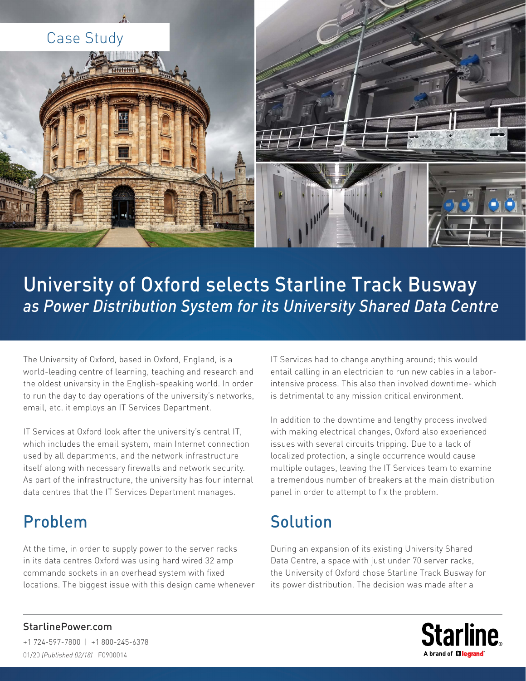

# University of Oxford selects Starline Track Busway *as Power Distribution System for its University Shared Data Centre*

The University of Oxford, based in Oxford, England, is a world-leading centre of learning, teaching and research and the oldest university in the English-speaking world. In order to run the day to day operations of the university's networks, email, etc. it employs an IT Services Department.

IT Services at Oxford look after the university's central IT, which includes the email system, main Internet connection used by all departments, and the network infrastructure itself along with necessary firewalls and network security. As part of the infrastructure, the university has four internal data centres that the IT Services Department manages.

### Problem

At the time, in order to supply power to the server racks in its data centres Oxford was using hard wired 32 amp commando sockets in an overhead system with fixed locations. The biggest issue with this design came whenever IT Services had to change anything around; this would entail calling in an electrician to run new cables in a laborintensive process. This also then involved downtime- which is detrimental to any mission critical environment.

In addition to the downtime and lengthy process involved with making electrical changes, Oxford also experienced issues with several circuits tripping. Due to a lack of localized protection, a single occurrence would cause multiple outages, leaving the IT Services team to examine a tremendous number of breakers at the main distribution panel in order to attempt to fix the problem.

## Solution

During an expansion of its existing University Shared Data Centre, a space with just under 70 server racks, the University of Oxford chose Starline Track Busway for its power distribution. The decision was made after a



### StarlinePower.com

+1 724-597-7800 | +1 800-245-6378 01/20 *(Published 02/18)* F0900014